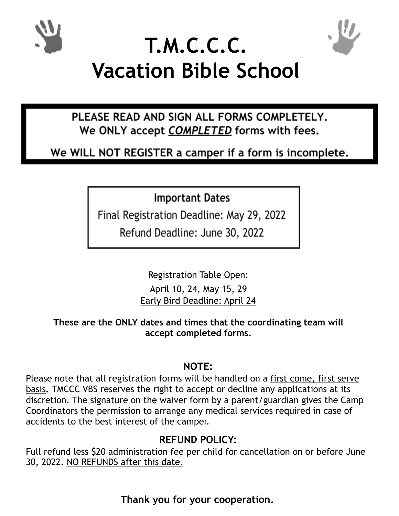



# **T.M.C.C.C. Vacation Bible School**

PLEASE READ AND SIGN ALL FORMS COMPLETELY. We ONLY accept COMPLETED forms with fees.

We WILL NOT REGISTER a camper if a form is incomplete.

**Important Dates** 

Final Registration Deadline: May 29, 2022

Refund Deadline: June 30, 2022

Registration Table Open: April 10, 24, May 15, 29 Early Bird Deadline: April 24

**These are the ONLY dates and times that the coordinating team will accept completed forms.**

## **NOTE:**

Please note that all registration forms will be handled on a first come, first serve basis**.** TMCCC VBS reserves the right to accept or decline any applications at its discretion. The signature on the waiver form by a parent/guardian gives the Camp Coordinators the permission to arrange any medical services required in case of accidents to the best interest of the camper.

## **REFUND POLICY:**

Full refund less \$20 administration fee per child for cancellation on or before June 30, 2022. NO REFUNDS after this date.

**Thank you for your cooperation.**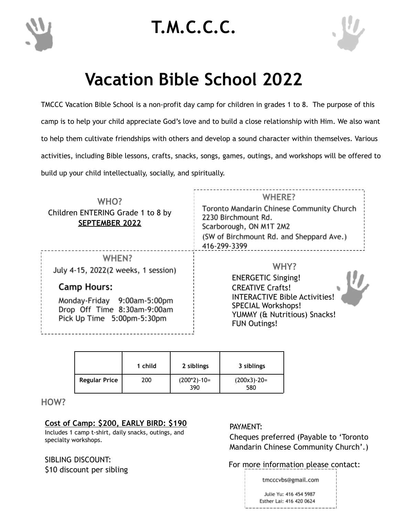

# **T.M.C.C.C.**



# **Vacation Bible School 2022**

TMCCC Vacation Bible School is a non-profit day camp for children in grades 1 to 8. The purpose of this camp is to help your child appreciate God's love and to build a close relationship with Him. We also want to help them cultivate friendships with others and develop a sound character within themselves. Various activities, including Bible lessons, crafts, snacks, songs, games, outings, and workshops will be offered to build up your child intellectually, socially, and spiritually.

| WHO?<br>Children ENTERING Grade 1 to 8 by<br><b>SEPTEMBER 2022</b>                       | WHERE?<br>Toronto Mandarin Chinese Community Church<br>2230 Birchmount Rd.<br>Scarborough, ON M1T 2M2<br>(SW of Birchmount Rd. and Sheppard Ave.)<br>416-299-3399 |  |  |
|------------------------------------------------------------------------------------------|-------------------------------------------------------------------------------------------------------------------------------------------------------------------|--|--|
| WHEN?<br>July 4-15, 2022(2 weeks, 1 session)                                             | WHY?<br><b>ENERGETIC Singing!</b>                                                                                                                                 |  |  |
| <b>Camp Hours:</b>                                                                       | <b>CREATIVE Crafts!</b>                                                                                                                                           |  |  |
| Monday-Friday 9:00am-5:00pm<br>Drop Off Time 8:30am-9:00am<br>Pick Up Time 5:00pm-5:30pm | <b>INTERACTIVE Bible Activities!</b><br><b>SPECIAL Workshops!</b><br>YUMMY (& Nutritious) Snacks!<br><b>FUN Outings!</b>                                          |  |  |

|                      | 1 child | 2 siblings             | 3 siblings           |
|----------------------|---------|------------------------|----------------------|
| <b>Regular Price</b> | 200     | $(200*2) - 10=$<br>390 | $(200x3)-20=$<br>580 |

**HOW?**

#### **Cost of Camp: \$200, EARLY BIRD: \$190**

Includes 1 camp t-shirt, daily snacks, outings, and specialty workshops.

SIBLING DISCOUNT: \$10 discount per sibling

#### PAYMENT:

Cheques preferred (Payable to 'Toronto Mandarin Chinese Community Church'.)

#### For more information please contact:

tmcccvbs@gmail.com Julie Yu: 416 454 5987 Esther Lai: 416 420 0624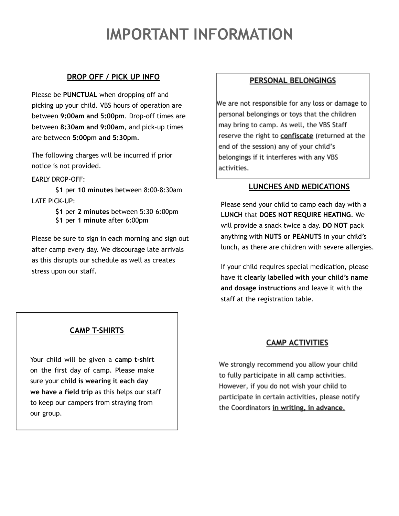## **IMPORTANT INFORMATION**

#### **DROP OFF / PICK UP INFO**

Please be **PUNCTUAL** when dropping off and picking up your child. VBS hours of operation are between **9:00am and 5:00pm**. Drop-off times are between **8:30am and 9:00am**, and pick-up times are between **5:00pm and 5:30pm**.

The following charges will be incurred if prior notice is not provided.

EARLY DROP-OFF:

**\$1** per **10 minutes** between 8:00-8:30am LATE PICK-UP:

> **\$1** per **2 minutes** between 5:30–6:00pm **\$1** per **1 minute** after 6:00pm

Please be sure to sign in each morning and sign out after camp every day. We discourage late arrivals as this disrupts our schedule as well as creates stress upon our staff.

#### PERSONAL BELONGINGS

We are not responsible for any loss or damage to personal belongings or toys that the children may bring to camp. As well, the VBS Staff reserve the right to confiscate (returned at the end of the session) any of your child's belongings if it interferes with any VBS activities.

#### **LUNCHES AND MEDICATIONS**

Please send your child to camp each day with a **LUNCH** that **DOES NOT REQUIRE HEATING**. We will provide a snack twice a day. **DO NOT** pack anything with **NUTS or PEANUTS** in your child's lunch, as there are children with severe allergies.

If your child requires special medication, please have it **clearly labelled with your child's name and dosage instructions** and leave it with the staff at the registration table.

#### **CAMP T-SHIRTS**

Your child will be given a **camp t-shirt** on the first day of camp. Please make sure your **child is wearing it each day we have a field trip** as this helps our staff to keep our campers from straying from our group.

#### **CAMP ACTIVITIES**

We strongly recommend you allow your child to fully participate in all camp activities. However, if you do not wish your child to participate in certain activities, please notify the Coordinators in writing, in advance.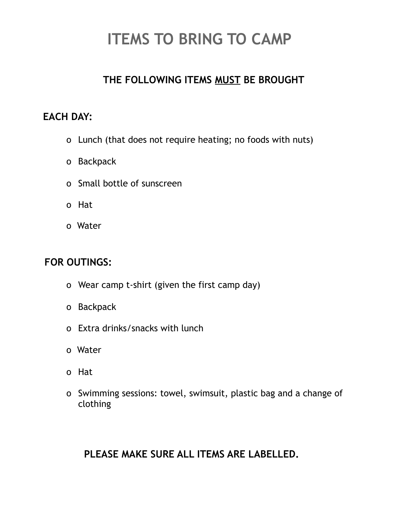## **ITEMS TO BRING TO CAMP**

## **THE FOLLOWING ITEMS MUST BE BROUGHT**

## **EACH DAY:**

- o Lunch (that does not require heating; no foods with nuts)
- o Backpack
- o Small bottle of sunscreen
- o Hat
- o Water

### **FOR OUTINGS:**

- o Wear camp t-shirt (given the first camp day)
- o Backpack
- o Extra drinks/snacks with lunch
- o Water
- o Hat
- o Swimming sessions: towel, swimsuit, plastic bag and a change of clothing

## **PLEASE MAKE SURE ALL ITEMS ARE LABELLED.**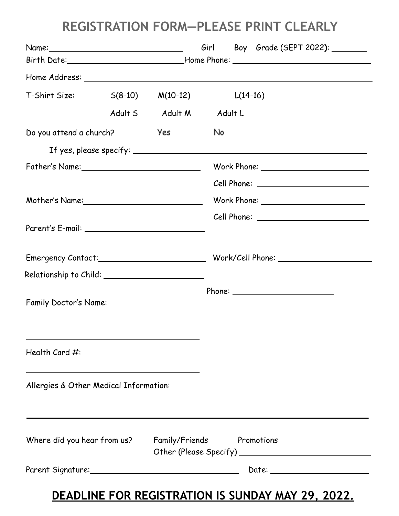## **REGISTRATION FORM—PLEASE PRINT CLEARLY**

|                                                    |  |                                      |    |  | Girl Boy Grade (SEPT 2022): _______                                              |
|----------------------------------------------------|--|--------------------------------------|----|--|----------------------------------------------------------------------------------|
|                                                    |  |                                      |    |  | Birth Date:___________________________________Home Phone: ______________________ |
|                                                    |  |                                      |    |  |                                                                                  |
| $T-Shirt Size: S(8-10)$                            |  | $M(10-12)$ $L(14-16)$                |    |  |                                                                                  |
|                                                    |  | Adult S Adult M Adult L              |    |  |                                                                                  |
| Do you attend a church?                            |  | Yes                                  | No |  |                                                                                  |
|                                                    |  |                                      |    |  | If yes, please specify: $\_\_\_\_\_\_\_\_\_\_\_\_\_$                             |
| Father's Name: ___________________________________ |  |                                      |    |  | Work Phone: __________________________                                           |
|                                                    |  |                                      |    |  |                                                                                  |
| Mother's Name:______________________________       |  | Work Phone: ________________________ |    |  |                                                                                  |
|                                                    |  |                                      |    |  |                                                                                  |
|                                                    |  |                                      |    |  |                                                                                  |
|                                                    |  |                                      |    |  |                                                                                  |
| Relationship to Child: _______________________     |  |                                      |    |  |                                                                                  |
| Family Doctor's Name:                              |  |                                      |    |  |                                                                                  |
| Health Card #:                                     |  |                                      |    |  |                                                                                  |
| Allergies & Other Medical Information:             |  |                                      |    |  |                                                                                  |
| Where did you hear from us?                        |  | Family/Friends                       |    |  | Promotions                                                                       |
|                                                    |  |                                      |    |  |                                                                                  |

## **DEADLINE FOR REGISTRATION IS SUNDAY MAY 29, 2022.**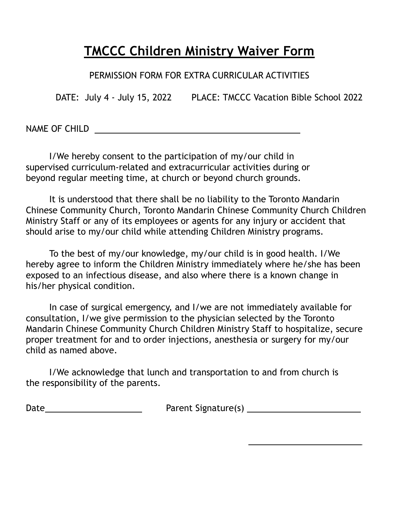## **TMCCC Children Ministry Waiver Form**

PERMISSION FORM FOR EXTRA CURRICULAR ACTIVITIES

DATE: July 4 - July 15, 2022 PLACE: TMCCC Vacation Bible School 2022

NAME OF CHILD

I/We hereby consent to the participation of my/our child in supervised curriculum-related and extracurricular activities during or beyond regular meeting time, at church or beyond church grounds.

It is understood that there shall be no liability to the Toronto Mandarin Chinese Community Church, Toronto Mandarin Chinese Community Church Children Ministry Staff or any of its employees or agents for any injury or accident that should arise to my/our child while attending Children Ministry programs.

To the best of my/our knowledge, my/our child is in good health. I/We hereby agree to inform the Children Ministry immediately where he/she has been exposed to an infectious disease, and also where there is a known change in his/her physical condition.

In case of surgical emergency, and I/we are not immediately available for consultation, I/we give permission to the physician selected by the Toronto Mandarin Chinese Community Church Children Ministry Staff to hospitalize, secure proper treatment for and to order injections, anesthesia or surgery for my/our child as named above.

I/We acknowledge that lunch and transportation to and from church is the responsibility of the parents.

Date Parent Signature(s)